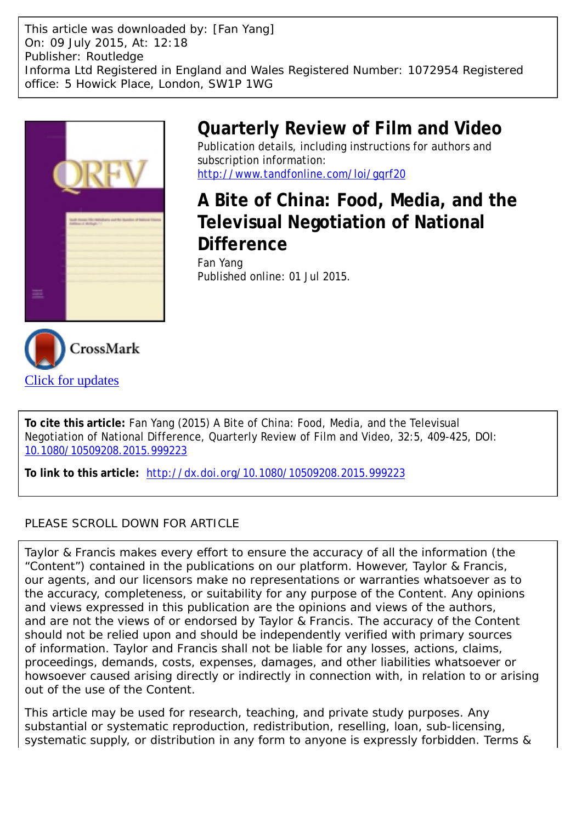This article was downloaded by: [Fan Yang] On: 09 July 2015, At: 12:18 Publisher: Routledge Informa Ltd Registered in England and Wales Registered Number: 1072954 Registered office: 5 Howick Place, London, SW1P 1WG



## **Quarterly Review of Film and Video** Publication details, including instructions for authors and

subscription information: <http://www.tandfonline.com/loi/gqrf20>

**A Bite of China: Food, Media, and the Televisual Negotiation of National Difference** Fan Yang Published online: 01 Jul 2015.



**To cite this article:** Fan Yang (2015) A Bite of China: Food, Media, and the Televisual Negotiation of National Difference, Quarterly Review of Film and Video, 32:5, 409-425, DOI: [10.1080/10509208.2015.999223](http://www.tandfonline.com/action/showCitFormats?doi=10.1080/10509208.2015.999223)

**To link to this article:** <http://dx.doi.org/10.1080/10509208.2015.999223>

## PLEASE SCROLL DOWN FOR ARTICLE

Taylor & Francis makes every effort to ensure the accuracy of all the information (the "Content") contained in the publications on our platform. However, Taylor & Francis, our agents, and our licensors make no representations or warranties whatsoever as to the accuracy, completeness, or suitability for any purpose of the Content. Any opinions and views expressed in this publication are the opinions and views of the authors, and are not the views of or endorsed by Taylor & Francis. The accuracy of the Content should not be relied upon and should be independently verified with primary sources of information. Taylor and Francis shall not be liable for any losses, actions, claims, proceedings, demands, costs, expenses, damages, and other liabilities whatsoever or howsoever caused arising directly or indirectly in connection with, in relation to or arising out of the use of the Content.

This article may be used for research, teaching, and private study purposes. Any substantial or systematic reproduction, redistribution, reselling, loan, sub-licensing, systematic supply, or distribution in any form to anyone is expressly forbidden. Terms &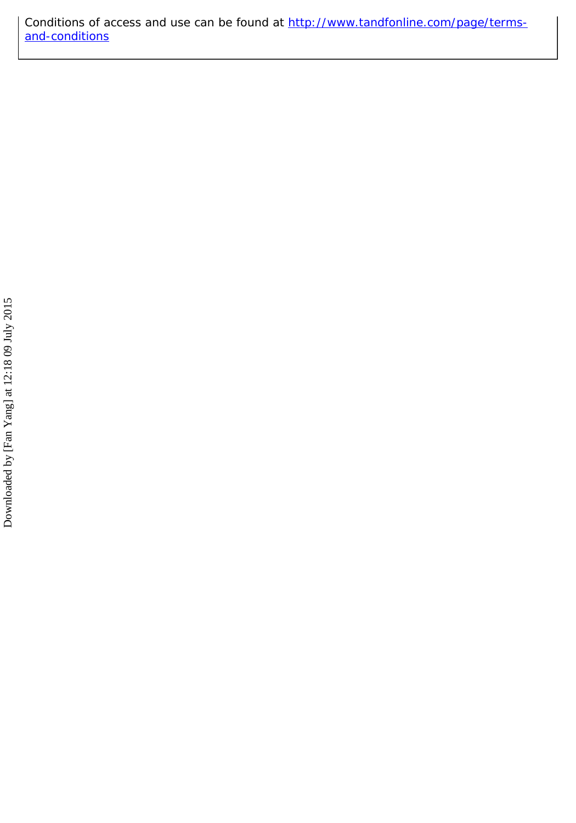Conditions of access and use can be found at [http://www.tandfonline.com/page/terms](http://www.tandfonline.com/page/terms-and-conditions)[and-conditions](http://www.tandfonline.com/page/terms-and-conditions)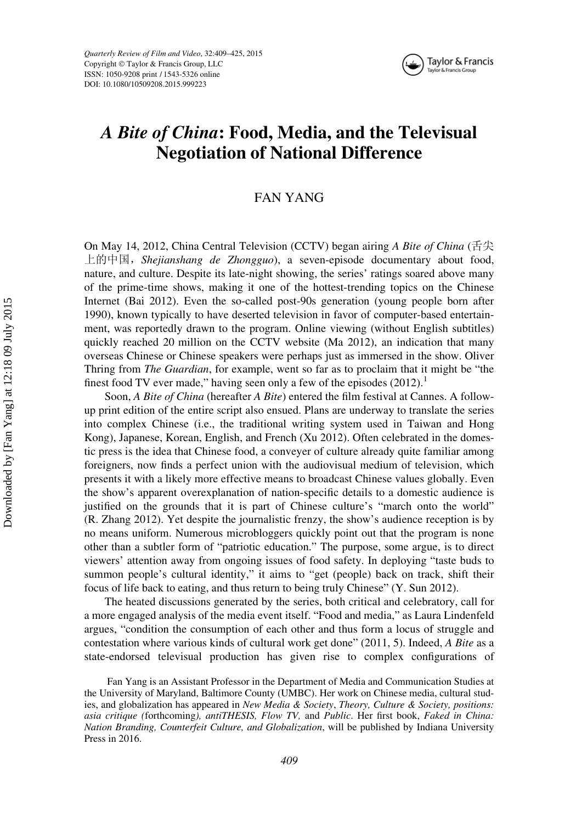Quarterly Review of Film and Video, 32:409–425, 2015 Copyright © Taylor & Francis Group, LLC ISSN: 1050-9208 print / 1543-5326 online DOI: 10.1080/10509208.2015.999223



# A Bite of China: Food, Media, and the Televisual Negotiation of National Difference

## FAN YANG

On May 14, 2012, China Central Television (CCTV) began airing A Bite of China (舌尖 上的中国, Shejianshang de Zhongguo), a seven-episode documentary about food, nature, and culture. Despite its late-night showing, the series' ratings soared above many of the prime-time shows, making it one of the hottest-trending topics on the Chinese Internet (Bai 2012). Even the so-called post-90s generation (young people born after 1990), known typically to have deserted television in favor of computer-based entertainment, was reportedly drawn to the program. Online viewing (without English subtitles) quickly reached 20 million on the CCTV website (Ma 2012), an indication that many overseas Chinese or Chinese speakers were perhaps just as immersed in the show. Oliver Thring from The Guardian, for example, went so far as to proclaim that it might be "the finest food TV ever made," having seen only a few of the episodes  $(2012)$ .<sup>1</sup>

Soon, A Bite of China (hereafter A Bite) entered the film festival at Cannes. A followup print edition of the entire script also ensued. Plans are underway to translate the series into complex Chinese (i.e., the traditional writing system used in Taiwan and Hong Kong), Japanese, Korean, English, and French (Xu 2012). Often celebrated in the domestic press is the idea that Chinese food, a conveyer of culture already quite familiar among foreigners, now finds a perfect union with the audiovisual medium of television, which presents it with a likely more effective means to broadcast Chinese values globally. Even the show's apparent overexplanation of nation-specific details to a domestic audience is justified on the grounds that it is part of Chinese culture's "march onto the world" (R. Zhang 2012). Yet despite the journalistic frenzy, the show's audience reception is by no means uniform. Numerous microbloggers quickly point out that the program is none other than a subtler form of "patriotic education." The purpose, some argue, is to direct viewers' attention away from ongoing issues of food safety. In deploying "taste buds to summon people's cultural identity," it aims to "get (people) back on track, shift their focus of life back to eating, and thus return to being truly Chinese" (Y. Sun 2012).

The heated discussions generated by the series, both critical and celebratory, call for a more engaged analysis of the media event itself. "Food and media," as Laura Lindenfeld argues, "condition the consumption of each other and thus form a locus of struggle and contestation where various kinds of cultural work get done" (2011, 5). Indeed, A Bite as a state-endorsed televisual production has given rise to complex configurations of

Fan Yang is an Assistant Professor in the Department of Media and Communication Studies at the University of Maryland, Baltimore County (UMBC). Her work on Chinese media, cultural studies, and globalization has appeared in New Media & Society, Theory, Culture & Society, positions: asia critique (forthcoming), antiTHESIS, Flow TV, and Public. Her first book, Faked in China: Nation Branding, Counterfeit Culture, and Globalization, will be published by Indiana University Press in 2016.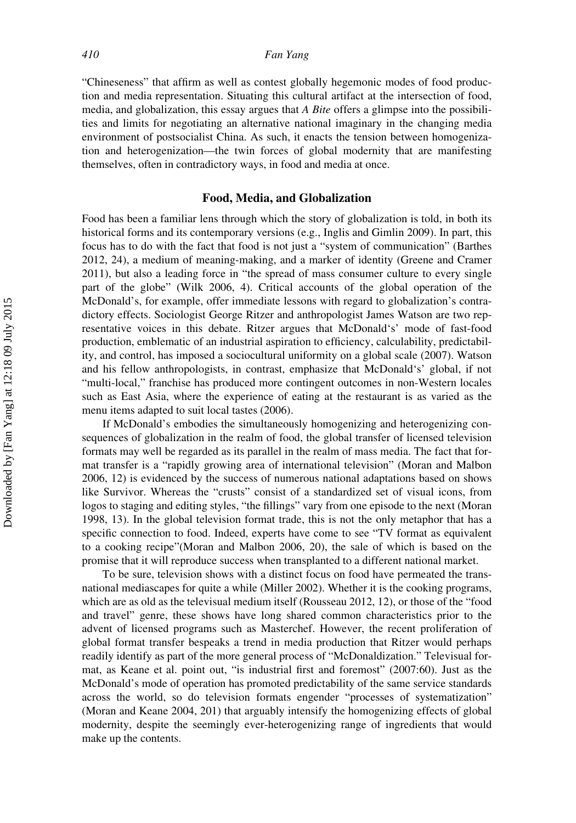"Chineseness" that affirm as well as contest globally hegemonic modes of food production and media representation. Situating this cultural artifact at the intersection of food, media, and globalization, this essay argues that  $\overline{A}$  Bite offers a glimpse into the possibilities and limits for negotiating an alternative national imaginary in the changing media environment of postsocialist China. As such, it enacts the tension between homogenization and heterogenization—the twin forces of global modernity that are manifesting themselves, often in contradictory ways, in food and media at once.

## Food, Media, and Globalization

Food has been a familiar lens through which the story of globalization is told, in both its historical forms and its contemporary versions (e.g., Inglis and Gimlin 2009). In part, this focus has to do with the fact that food is not just a "system of communication" (Barthes 2012, 24), a medium of meaning-making, and a marker of identity (Greene and Cramer 2011), but also a leading force in "the spread of mass consumer culture to every single part of the globe" (Wilk 2006, 4). Critical accounts of the global operation of the McDonald's, for example, offer immediate lessons with regard to globalization's contradictory effects. Sociologist George Ritzer and anthropologist James Watson are two representative voices in this debate. Ritzer argues that McDonald's' mode of fast-food production, emblematic of an industrial aspiration to efficiency, calculability, predictability, and control, has imposed a sociocultural uniformity on a global scale (2007). Watson and his fellow anthropologists, in contrast, emphasize that McDonald's' global, if not "multi-local," franchise has produced more contingent outcomes in non-Western locales such as East Asia, where the experience of eating at the restaurant is as varied as the menu items adapted to suit local tastes (2006).

If McDonald's embodies the simultaneously homogenizing and heterogenizing consequences of globalization in the realm of food, the global transfer of licensed television formats may well be regarded as its parallel in the realm of mass media. The fact that format transfer is a "rapidly growing area of international television" (Moran and Malbon 2006, 12) is evidenced by the success of numerous national adaptations based on shows like Survivor. Whereas the "crusts" consist of a standardized set of visual icons, from logos to staging and editing styles, "the fillings" vary from one episode to the next (Moran 1998, 13). In the global television format trade, this is not the only metaphor that has a specific connection to food. Indeed, experts have come to see "TV format as equivalent to a cooking recipe"(Moran and Malbon 2006, 20), the sale of which is based on the promise that it will reproduce success when transplanted to a different national market.

To be sure, television shows with a distinct focus on food have permeated the transnational mediascapes for quite a while (Miller 2002). Whether it is the cooking programs, which are as old as the televisual medium itself (Rousseau 2012, 12), or those of the "food and travel" genre, these shows have long shared common characteristics prior to the advent of licensed programs such as Masterchef. However, the recent proliferation of global format transfer bespeaks a trend in media production that Ritzer would perhaps readily identify as part of the more general process of "McDonaldization." Televisual format, as Keane et al. point out, "is industrial first and foremost" (2007:60). Just as the McDonald's mode of operation has promoted predictability of the same service standards across the world, so do television formats engender "processes of systematization" (Moran and Keane 2004, 201) that arguably intensify the homogenizing effects of global modernity, despite the seemingly ever-heterogenizing range of ingredients that would make up the contents.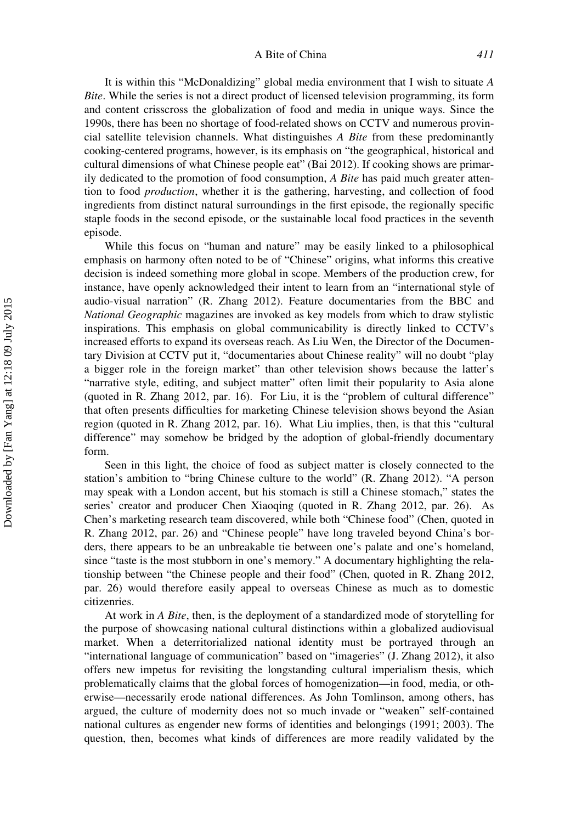#### A Bite of China 411

It is within this "McDonaldizing" global media environment that I wish to situate A Bite. While the series is not a direct product of licensed television programming, its form and content crisscross the globalization of food and media in unique ways. Since the 1990s, there has been no shortage of food-related shows on CCTV and numerous provincial satellite television channels. What distinguishes A Bite from these predominantly cooking-centered programs, however, is its emphasis on "the geographical, historical and cultural dimensions of what Chinese people eat" (Bai 2012). If cooking shows are primarily dedicated to the promotion of food consumption, A Bite has paid much greater attention to food production, whether it is the gathering, harvesting, and collection of food ingredients from distinct natural surroundings in the first episode, the regionally specific staple foods in the second episode, or the sustainable local food practices in the seventh episode.

While this focus on "human and nature" may be easily linked to a philosophical emphasis on harmony often noted to be of "Chinese" origins, what informs this creative decision is indeed something more global in scope. Members of the production crew, for instance, have openly acknowledged their intent to learn from an "international style of audio-visual narration" (R. Zhang 2012). Feature documentaries from the BBC and National Geographic magazines are invoked as key models from which to draw stylistic inspirations. This emphasis on global communicability is directly linked to CCTV's increased efforts to expand its overseas reach. As Liu Wen, the Director of the Documentary Division at CCTV put it, "documentaries about Chinese reality" will no doubt "play a bigger role in the foreign market" than other television shows because the latter's "narrative style, editing, and subject matter" often limit their popularity to Asia alone (quoted in R. Zhang 2012, par. 16). For Liu, it is the "problem of cultural difference" that often presents difficulties for marketing Chinese television shows beyond the Asian region (quoted in R. Zhang 2012, par. 16). What Liu implies, then, is that this "cultural difference" may somehow be bridged by the adoption of global-friendly documentary form.

Seen in this light, the choice of food as subject matter is closely connected to the station's ambition to "bring Chinese culture to the world" (R. Zhang 2012). "A person may speak with a London accent, but his stomach is still a Chinese stomach," states the series' creator and producer Chen Xiaoqing (quoted in R. Zhang 2012, par. 26). As Chen's marketing research team discovered, while both "Chinese food" (Chen, quoted in R. Zhang 2012, par. 26) and "Chinese people" have long traveled beyond China's borders, there appears to be an unbreakable tie between one's palate and one's homeland, since "taste is the most stubborn in one's memory." A documentary highlighting the relationship between "the Chinese people and their food" (Chen, quoted in R. Zhang 2012, par. 26) would therefore easily appeal to overseas Chinese as much as to domestic citizenries.

At work in A Bite, then, is the deployment of a standardized mode of storytelling for the purpose of showcasing national cultural distinctions within a globalized audiovisual market. When a deterritorialized national identity must be portrayed through an "international language of communication" based on "imageries" (J. Zhang 2012), it also offers new impetus for revisiting the longstanding cultural imperialism thesis, which problematically claims that the global forces of homogenization—in food, media, or otherwise—necessarily erode national differences. As John Tomlinson, among others, has argued, the culture of modernity does not so much invade or "weaken" self-contained national cultures as engender new forms of identities and belongings (1991; 2003). The question, then, becomes what kinds of differences are more readily validated by the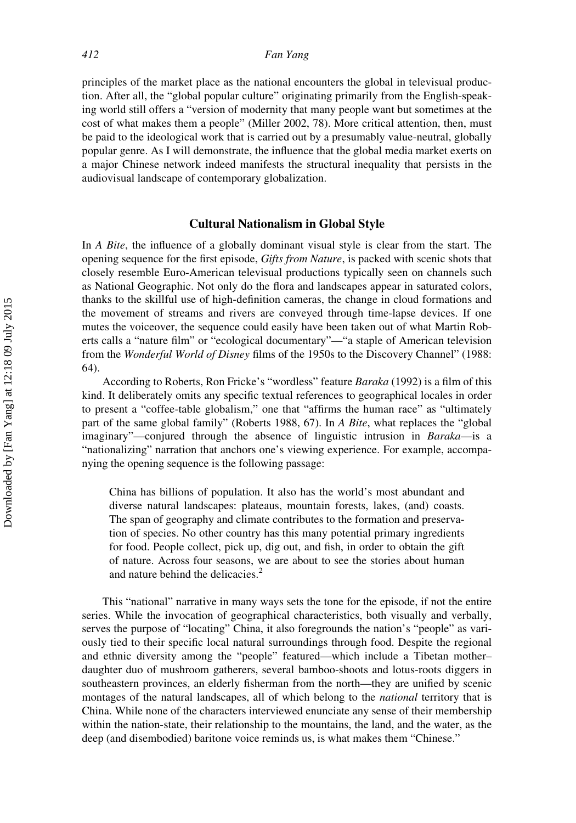principles of the market place as the national encounters the global in televisual production. After all, the "global popular culture" originating primarily from the English-speaking world still offers a "version of modernity that many people want but sometimes at the cost of what makes them a people" (Miller 2002, 78). More critical attention, then, must be paid to the ideological work that is carried out by a presumably value-neutral, globally popular genre. As I will demonstrate, the influence that the global media market exerts on a major Chinese network indeed manifests the structural inequality that persists in the audiovisual landscape of contemporary globalization.

### Cultural Nationalism in Global Style

In A Bite, the influence of a globally dominant visual style is clear from the start. The opening sequence for the first episode, Gifts from Nature, is packed with scenic shots that closely resemble Euro-American televisual productions typically seen on channels such as National Geographic. Not only do the flora and landscapes appear in saturated colors, thanks to the skillful use of high-definition cameras, the change in cloud formations and the movement of streams and rivers are conveyed through time-lapse devices. If one mutes the voiceover, the sequence could easily have been taken out of what Martin Roberts calls a "nature film" or "ecological documentary"—"a staple of American television from the Wonderful World of Disney films of the 1950s to the Discovery Channel" (1988: 64).

According to Roberts, Ron Fricke's "wordless" feature Baraka (1992) is a film of this kind. It deliberately omits any specific textual references to geographical locales in order to present a "coffee-table globalism," one that "affirms the human race" as "ultimately part of the same global family" (Roberts 1988, 67). In A Bite, what replaces the "global imaginary"—conjured through the absence of linguistic intrusion in Baraka—is a "nationalizing" narration that anchors one's viewing experience. For example, accompanying the opening sequence is the following passage:

China has billions of population. It also has the world's most abundant and diverse natural landscapes: plateaus, mountain forests, lakes, (and) coasts. The span of geography and climate contributes to the formation and preservation of species. No other country has this many potential primary ingredients for food. People collect, pick up, dig out, and fish, in order to obtain the gift of nature. Across four seasons, we are about to see the stories about human and nature behind the delicacies.<sup>2</sup>

This "national" narrative in many ways sets the tone for the episode, if not the entire series. While the invocation of geographical characteristics, both visually and verbally, serves the purpose of "locating" China, it also foregrounds the nation's "people" as variously tied to their specific local natural surroundings through food. Despite the regional and ethnic diversity among the "people" featured—which include a Tibetan mother– daughter duo of mushroom gatherers, several bamboo-shoots and lotus-roots diggers in southeastern provinces, an elderly fisherman from the north—they are unified by scenic montages of the natural landscapes, all of which belong to the *national* territory that is China. While none of the characters interviewed enunciate any sense of their membership within the nation-state, their relationship to the mountains, the land, and the water, as the deep (and disembodied) baritone voice reminds us, is what makes them "Chinese."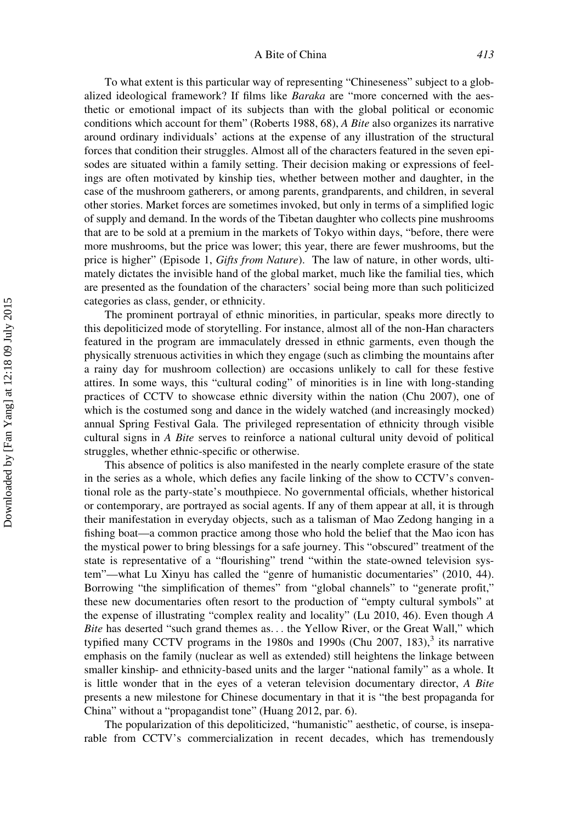#### A Bite of China 413

To what extent is this particular way of representing "Chineseness" subject to a globalized ideological framework? If films like Baraka are "more concerned with the aesthetic or emotional impact of its subjects than with the global political or economic conditions which account for them" (Roberts 1988, 68), A Bite also organizes its narrative around ordinary individuals' actions at the expense of any illustration of the structural forces that condition their struggles. Almost all of the characters featured in the seven episodes are situated within a family setting. Their decision making or expressions of feelings are often motivated by kinship ties, whether between mother and daughter, in the case of the mushroom gatherers, or among parents, grandparents, and children, in several other stories. Market forces are sometimes invoked, but only in terms of a simplified logic of supply and demand. In the words of the Tibetan daughter who collects pine mushrooms that are to be sold at a premium in the markets of Tokyo within days, "before, there were more mushrooms, but the price was lower; this year, there are fewer mushrooms, but the price is higher" (Episode 1, Gifts from Nature). The law of nature, in other words, ultimately dictates the invisible hand of the global market, much like the familial ties, which are presented as the foundation of the characters' social being more than such politicized categories as class, gender, or ethnicity.

The prominent portrayal of ethnic minorities, in particular, speaks more directly to this depoliticized mode of storytelling. For instance, almost all of the non-Han characters featured in the program are immaculately dressed in ethnic garments, even though the physically strenuous activities in which they engage (such as climbing the mountains after a rainy day for mushroom collection) are occasions unlikely to call for these festive attires. In some ways, this "cultural coding" of minorities is in line with long-standing practices of CCTV to showcase ethnic diversity within the nation (Chu 2007), one of which is the costumed song and dance in the widely watched (and increasingly mocked) annual Spring Festival Gala. The privileged representation of ethnicity through visible cultural signs in A Bite serves to reinforce a national cultural unity devoid of political struggles, whether ethnic-specific or otherwise.

This absence of politics is also manifested in the nearly complete erasure of the state in the series as a whole, which defies any facile linking of the show to CCTV's conventional role as the party-state's mouthpiece. No governmental officials, whether historical or contemporary, are portrayed as social agents. If any of them appear at all, it is through their manifestation in everyday objects, such as a talisman of Mao Zedong hanging in a fishing boat—a common practice among those who hold the belief that the Mao icon has the mystical power to bring blessings for a safe journey. This "obscured" treatment of the state is representative of a "flourishing" trend "within the state-owned television system"—what Lu Xinyu has called the "genre of humanistic documentaries" (2010, 44). Borrowing "the simplification of themes" from "global channels" to "generate profit," these new documentaries often resort to the production of "empty cultural symbols" at the expense of illustrating "complex reality and locality" (Lu 2010, 46). Even though A Bite has deserted "such grand themes as... the Yellow River, or the Great Wall," which typified many CCTV programs in the 1980s and 1990s (Chu 2007, 183), $3$  its narrative emphasis on the family (nuclear as well as extended) still heightens the linkage between smaller kinship- and ethnicity-based units and the larger "national family" as a whole. It is little wonder that in the eyes of a veteran television documentary director, A Bite presents a new milestone for Chinese documentary in that it is "the best propaganda for China" without a "propagandist tone" (Huang 2012, par. 6).

The popularization of this depoliticized, "humanistic" aesthetic, of course, is inseparable from CCTV's commercialization in recent decades, which has tremendously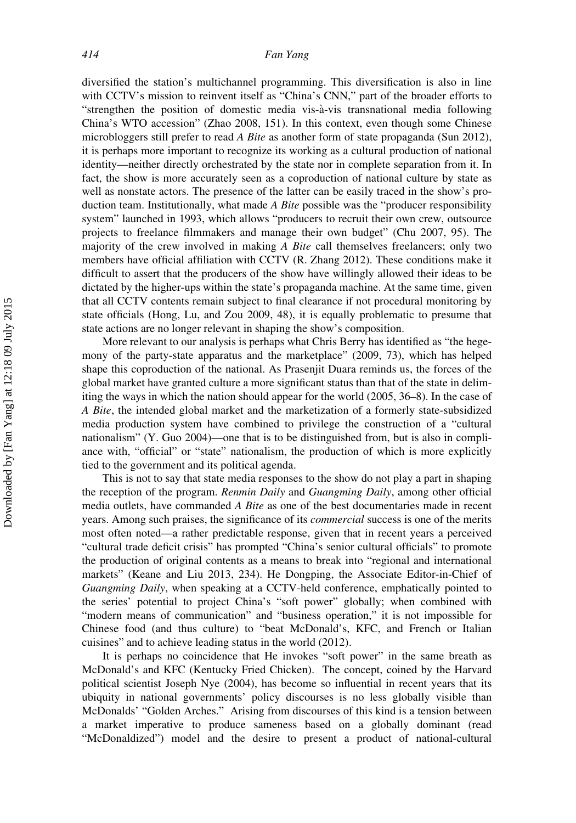diversified the station's multichannel programming. This diversification is also in line with CCTV's mission to reinvent itself as "China's CNN," part of the broader efforts to "strengthen the position of domestic media vis-à-vis transnational media following China's WTO accession" (Zhao 2008, 151). In this context, even though some Chinese microbloggers still prefer to read A Bite as another form of state propaganda (Sun 2012), it is perhaps more important to recognize its working as a cultural production of national identity—neither directly orchestrated by the state nor in complete separation from it. In fact, the show is more accurately seen as a coproduction of national culture by state as well as nonstate actors. The presence of the latter can be easily traced in the show's production team. Institutionally, what made  $\overline{A}$  Bite possible was the "producer responsibility system" launched in 1993, which allows "producers to recruit their own crew, outsource projects to freelance filmmakers and manage their own budget" (Chu 2007, 95). The majority of the crew involved in making  $\hat{A}$  Bite call themselves freelancers; only two members have official affiliation with CCTV (R. Zhang 2012). These conditions make it difficult to assert that the producers of the show have willingly allowed their ideas to be dictated by the higher-ups within the state's propaganda machine. At the same time, given that all CCTV contents remain subject to final clearance if not procedural monitoring by state officials (Hong, Lu, and Zou 2009, 48), it is equally problematic to presume that state actions are no longer relevant in shaping the show's composition.

More relevant to our analysis is perhaps what Chris Berry has identified as "the hegemony of the party-state apparatus and the marketplace" (2009, 73), which has helped shape this coproduction of the national. As Prasenjit Duara reminds us, the forces of the global market have granted culture a more significant status than that of the state in delimiting the ways in which the nation should appear for the world (2005, 36–8). In the case of A Bite, the intended global market and the marketization of a formerly state-subsidized media production system have combined to privilege the construction of a "cultural nationalism" (Y. Guo 2004)—one that is to be distinguished from, but is also in compliance with, "official" or "state" nationalism, the production of which is more explicitly tied to the government and its political agenda.

This is not to say that state media responses to the show do not play a part in shaping the reception of the program. Renmin Daily and Guangming Daily, among other official media outlets, have commanded A Bite as one of the best documentaries made in recent years. Among such praises, the significance of its commercial success is one of the merits most often noted—a rather predictable response, given that in recent years a perceived "cultural trade deficit crisis" has prompted "China's senior cultural officials" to promote the production of original contents as a means to break into "regional and international markets" (Keane and Liu 2013, 234). He Dongping, the Associate Editor-in-Chief of Guangming Daily, when speaking at a CCTV-held conference, emphatically pointed to the series' potential to project China's "soft power" globally; when combined with "modern means of communication" and "business operation," it is not impossible for Chinese food (and thus culture) to "beat McDonald's, KFC, and French or Italian cuisines" and to achieve leading status in the world (2012).

It is perhaps no coincidence that He invokes "soft power" in the same breath as McDonald's and KFC (Kentucky Fried Chicken). The concept, coined by the Harvard political scientist Joseph Nye (2004), has become so influential in recent years that its ubiquity in national governments' policy discourses is no less globally visible than McDonalds' "Golden Arches." Arising from discourses of this kind is a tension between a market imperative to produce sameness based on a globally dominant (read "McDonaldized") model and the desire to present a product of national-cultural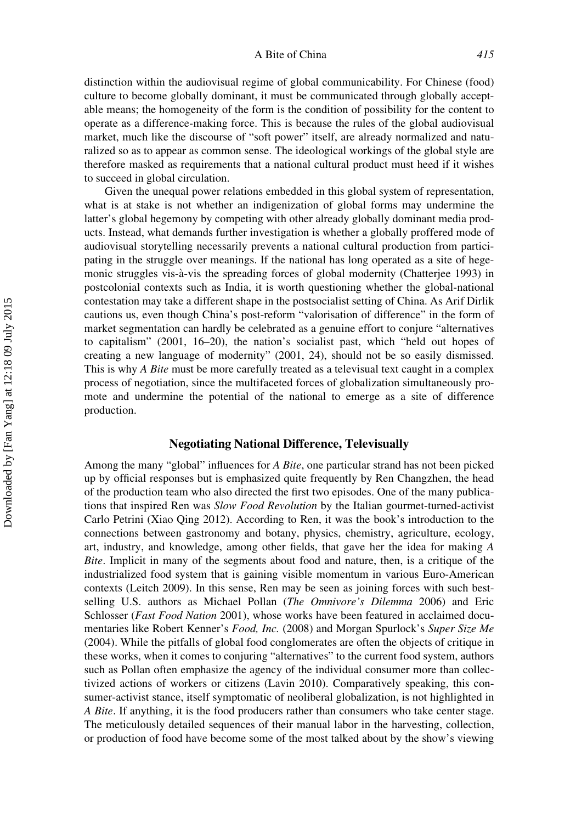distinction within the audiovisual regime of global communicability. For Chinese (food) culture to become globally dominant, it must be communicated through globally acceptable means; the homogeneity of the form is the condition of possibility for the content to operate as a difference-making force. This is because the rules of the global audiovisual market, much like the discourse of "soft power" itself, are already normalized and naturalized so as to appear as common sense. The ideological workings of the global style are therefore masked as requirements that a national cultural product must heed if it wishes to succeed in global circulation.

Given the unequal power relations embedded in this global system of representation, what is at stake is not whether an indigenization of global forms may undermine the latter's global hegemony by competing with other already globally dominant media products. Instead, what demands further investigation is whether a globally proffered mode of audiovisual storytelling necessarily prevents a national cultural production from participating in the struggle over meanings. If the national has long operated as a site of hegemonic struggles vis-à-vis the spreading forces of global modernity (Chatterjee 1993) in postcolonial contexts such as India, it is worth questioning whether the global-national contestation may take a different shape in the postsocialist setting of China. As Arif Dirlik cautions us, even though China's post-reform "valorisation of difference" in the form of market segmentation can hardly be celebrated as a genuine effort to conjure "alternatives to capitalism" (2001, 16–20), the nation's socialist past, which "held out hopes of creating a new language of modernity" (2001, 24), should not be so easily dismissed. This is why A Bite must be more carefully treated as a televisual text caught in a complex process of negotiation, since the multifaceted forces of globalization simultaneously promote and undermine the potential of the national to emerge as a site of difference production.

## Negotiating National Difference, Televisually

Among the many "global" influences for A Bite, one particular strand has not been picked up by official responses but is emphasized quite frequently by Ren Changzhen, the head of the production team who also directed the first two episodes. One of the many publications that inspired Ren was *Slow Food Revolution* by the Italian gourmet-turned-activist Carlo Petrini (Xiao Qing 2012). According to Ren, it was the book's introduction to the connections between gastronomy and botany, physics, chemistry, agriculture, ecology, art, industry, and knowledge, among other fields, that gave her the idea for making A Bite. Implicit in many of the segments about food and nature, then, is a critique of the industrialized food system that is gaining visible momentum in various Euro-American contexts (Leitch 2009). In this sense, Ren may be seen as joining forces with such bestselling U.S. authors as Michael Pollan (The Omnivore's Dilemma 2006) and Eric Schlosser (*Fast Food Nation* 2001), whose works have been featured in acclaimed documentaries like Robert Kenner's Food, Inc. (2008) and Morgan Spurlock's Super Size Me (2004). While the pitfalls of global food conglomerates are often the objects of critique in these works, when it comes to conjuring "alternatives" to the current food system, authors such as Pollan often emphasize the agency of the individual consumer more than collectivized actions of workers or citizens (Lavin 2010). Comparatively speaking, this consumer-activist stance, itself symptomatic of neoliberal globalization, is not highlighted in A Bite. If anything, it is the food producers rather than consumers who take center stage. The meticulously detailed sequences of their manual labor in the harvesting, collection, or production of food have become some of the most talked about by the show's viewing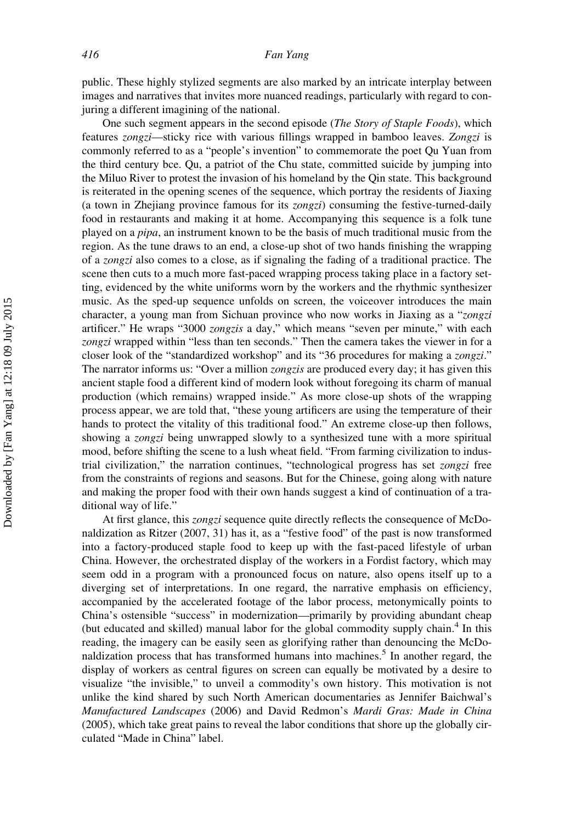public. These highly stylized segments are also marked by an intricate interplay between images and narratives that invites more nuanced readings, particularly with regard to conjuring a different imagining of the national.

One such segment appears in the second episode (*The Story of Staple Foods*), which features zongzi—sticky rice with various fillings wrapped in bamboo leaves. Zongzi is commonly referred to as a "people's invention" to commemorate the poet Qu Yuan from the third century bce. Qu, a patriot of the Chu state, committed suicide by jumping into the Miluo River to protest the invasion of his homeland by the Qin state. This background is reiterated in the opening scenes of the sequence, which portray the residents of Jiaxing (a town in Zhejiang province famous for its zongzi) consuming the festive-turned-daily food in restaurants and making it at home. Accompanying this sequence is a folk tune played on a *pipa*, an instrument known to be the basis of much traditional music from the region. As the tune draws to an end, a close-up shot of two hands finishing the wrapping of a zongzi also comes to a close, as if signaling the fading of a traditional practice. The scene then cuts to a much more fast-paced wrapping process taking place in a factory setting, evidenced by the white uniforms worn by the workers and the rhythmic synthesizer music. As the sped-up sequence unfolds on screen, the voiceover introduces the main character, a young man from Sichuan province who now works in Jiaxing as a "zongzi artificer." He wraps "3000 zongzis a day," which means "seven per minute," with each zongzi wrapped within "less than ten seconds." Then the camera takes the viewer in for a closer look of the "standardized workshop" and its "36 procedures for making a zongzi." The narrator informs us: "Over a million *zongzis* are produced every day; it has given this ancient staple food a different kind of modern look without foregoing its charm of manual production (which remains) wrapped inside." As more close-up shots of the wrapping process appear, we are told that, "these young artificers are using the temperature of their hands to protect the vitality of this traditional food." An extreme close-up then follows, showing a *zongzi* being unwrapped slowly to a synthesized tune with a more spiritual mood, before shifting the scene to a lush wheat field. "From farming civilization to industrial civilization," the narration continues, "technological progress has set zongzi free from the constraints of regions and seasons. But for the Chinese, going along with nature and making the proper food with their own hands suggest a kind of continuation of a traditional way of life."

At first glance, this zongzi sequence quite directly reflects the consequence of McDonaldization as Ritzer (2007, 31) has it, as a "festive food" of the past is now transformed into a factory-produced staple food to keep up with the fast-paced lifestyle of urban China. However, the orchestrated display of the workers in a Fordist factory, which may seem odd in a program with a pronounced focus on nature, also opens itself up to a diverging set of interpretations. In one regard, the narrative emphasis on efficiency, accompanied by the accelerated footage of the labor process, metonymically points to China's ostensible "success" in modernization—primarily by providing abundant cheap (but educated and skilled) manual labor for the global commodity supply chain.<sup>4</sup> In this reading, the imagery can be easily seen as glorifying rather than denouncing the McDonaldization process that has transformed humans into machines.<sup>5</sup> In another regard, the display of workers as central figures on screen can equally be motivated by a desire to visualize "the invisible," to unveil a commodity's own history. This motivation is not unlike the kind shared by such North American documentaries as Jennifer Baichwal's Manufactured Landscapes (2006) and David Redmon's Mardi Gras: Made in China (2005), which take great pains to reveal the labor conditions that shore up the globally circulated "Made in China" label.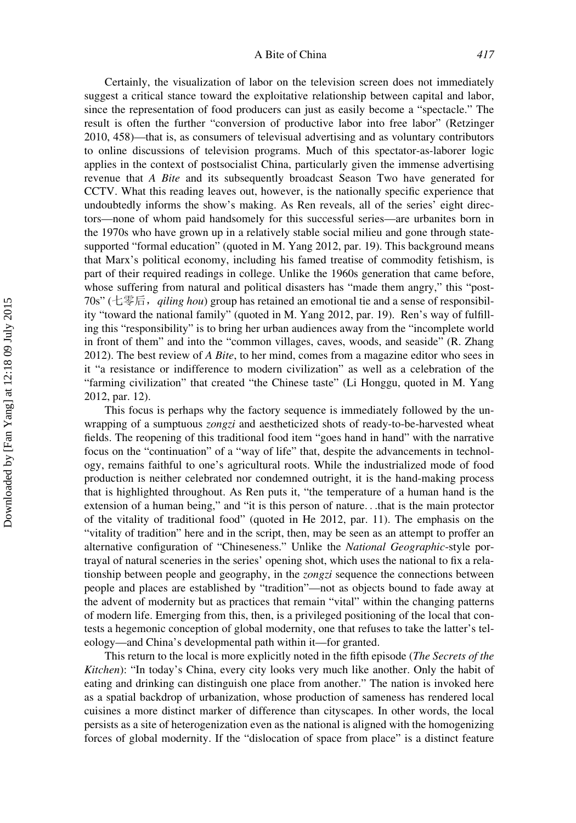#### A Bite of China 417

Certainly, the visualization of labor on the television screen does not immediately suggest a critical stance toward the exploitative relationship between capital and labor, since the representation of food producers can just as easily become a "spectacle." The result is often the further "conversion of productive labor into free labor" (Retzinger 2010, 458)—that is, as consumers of televisual advertising and as voluntary contributors to online discussions of television programs. Much of this spectator-as-laborer logic applies in the context of postsocialist China, particularly given the immense advertising revenue that A Bite and its subsequently broadcast Season Two have generated for CCTV. What this reading leaves out, however, is the nationally specific experience that undoubtedly informs the show's making. As Ren reveals, all of the series' eight directors—none of whom paid handsomely for this successful series—are urbanites born in the 1970s who have grown up in a relatively stable social milieu and gone through statesupported "formal education" (quoted in M. Yang 2012, par. 19). This background means that Marx's political economy, including his famed treatise of commodity fetishism, is part of their required readings in college. Unlike the 1960s generation that came before, whose suffering from natural and political disasters has "made them angry," this "post-70s" (七零后, qiling hou) group has retained an emotional tie and a sense of responsibility "toward the national family" (quoted in M. Yang 2012, par. 19). Ren's way of fulfilling this "responsibility" is to bring her urban audiences away from the "incomplete world in front of them" and into the "common villages, caves, woods, and seaside" (R. Zhang 2012). The best review of  $A$  Bite, to her mind, comes from a magazine editor who sees in it "a resistance or indifference to modern civilization" as well as a celebration of the "farming civilization" that created "the Chinese taste" (Li Honggu, quoted in M. Yang 2012, par. 12).

This focus is perhaps why the factory sequence is immediately followed by the unwrapping of a sumptuous *zongzi* and aestheticized shots of ready-to-be-harvested wheat fields. The reopening of this traditional food item "goes hand in hand" with the narrative focus on the "continuation" of a "way of life" that, despite the advancements in technology, remains faithful to one's agricultural roots. While the industrialized mode of food production is neither celebrated nor condemned outright, it is the hand-making process that is highlighted throughout. As Ren puts it, "the temperature of a human hand is the extension of a human being," and "it is this person of nature...that is the main protector of the vitality of traditional food" (quoted in He 2012, par. 11). The emphasis on the "vitality of tradition" here and in the script, then, may be seen as an attempt to proffer an alternative configuration of "Chineseness." Unlike the National Geographic-style portrayal of natural sceneries in the series' opening shot, which uses the national to fix a relationship between people and geography, in the *zongzi* sequence the connections between people and places are established by "tradition"—not as objects bound to fade away at the advent of modernity but as practices that remain "vital" within the changing patterns of modern life. Emerging from this, then, is a privileged positioning of the local that contests a hegemonic conception of global modernity, one that refuses to take the latter's teleology—and China's developmental path within it—for granted.

This return to the local is more explicitly noted in the fifth episode (The Secrets of the Kitchen): "In today's China, every city looks very much like another. Only the habit of eating and drinking can distinguish one place from another." The nation is invoked here as a spatial backdrop of urbanization, whose production of sameness has rendered local cuisines a more distinct marker of difference than cityscapes. In other words, the local persists as a site of heterogenization even as the national is aligned with the homogenizing forces of global modernity. If the "dislocation of space from place" is a distinct feature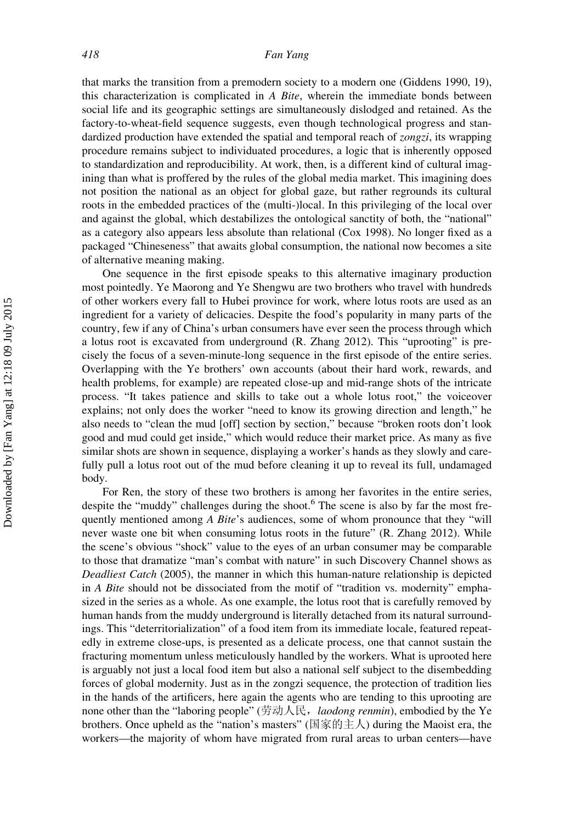that marks the transition from a premodern society to a modern one (Giddens 1990, 19), this characterization is complicated in  $A$  Bite, wherein the immediate bonds between social life and its geographic settings are simultaneously dislodged and retained. As the factory-to-wheat-field sequence suggests, even though technological progress and standardized production have extended the spatial and temporal reach of *zongzi*, its wrapping procedure remains subject to individuated procedures, a logic that is inherently opposed to standardization and reproducibility. At work, then, is a different kind of cultural imagining than what is proffered by the rules of the global media market. This imagining does not position the national as an object for global gaze, but rather regrounds its cultural roots in the embedded practices of the (multi-)local. In this privileging of the local over and against the global, which destabilizes the ontological sanctity of both, the "national" as a category also appears less absolute than relational (Cox 1998). No longer fixed as a packaged "Chineseness" that awaits global consumption, the national now becomes a site of alternative meaning making.

One sequence in the first episode speaks to this alternative imaginary production most pointedly. Ye Maorong and Ye Shengwu are two brothers who travel with hundreds of other workers every fall to Hubei province for work, where lotus roots are used as an ingredient for a variety of delicacies. Despite the food's popularity in many parts of the country, few if any of China's urban consumers have ever seen the process through which a lotus root is excavated from underground (R. Zhang 2012). This "uprooting" is precisely the focus of a seven-minute-long sequence in the first episode of the entire series. Overlapping with the Ye brothers' own accounts (about their hard work, rewards, and health problems, for example) are repeated close-up and mid-range shots of the intricate process. "It takes patience and skills to take out a whole lotus root," the voiceover explains; not only does the worker "need to know its growing direction and length," he also needs to "clean the mud [off] section by section," because "broken roots don't look good and mud could get inside," which would reduce their market price. As many as five similar shots are shown in sequence, displaying a worker's hands as they slowly and carefully pull a lotus root out of the mud before cleaning it up to reveal its full, undamaged body.

For Ren, the story of these two brothers is among her favorites in the entire series, despite the "muddy" challenges during the shoot.<sup>6</sup> The scene is also by far the most frequently mentioned among  $A$  Bite's audiences, some of whom pronounce that they "will never waste one bit when consuming lotus roots in the future" (R. Zhang 2012). While the scene's obvious "shock" value to the eyes of an urban consumer may be comparable to those that dramatize "man's combat with nature" in such Discovery Channel shows as Deadliest Catch (2005), the manner in which this human-nature relationship is depicted in A Bite should not be dissociated from the motif of "tradition vs. modernity" emphasized in the series as a whole. As one example, the lotus root that is carefully removed by human hands from the muddy underground is literally detached from its natural surroundings. This "deterritorialization" of a food item from its immediate locale, featured repeatedly in extreme close-ups, is presented as a delicate process, one that cannot sustain the fracturing momentum unless meticulously handled by the workers. What is uprooted here is arguably not just a local food item but also a national self subject to the disembedding forces of global modernity. Just as in the zongzi sequence, the protection of tradition lies in the hands of the artificers, here again the agents who are tending to this uprooting are none other than the "laboring people" (劳动人民, laodong renmin), embodied by the Ye brothers. Once upheld as the "nation's masters" (国家的主人) during the Maoist era, the workers—the majority of whom have migrated from rural areas to urban centers—have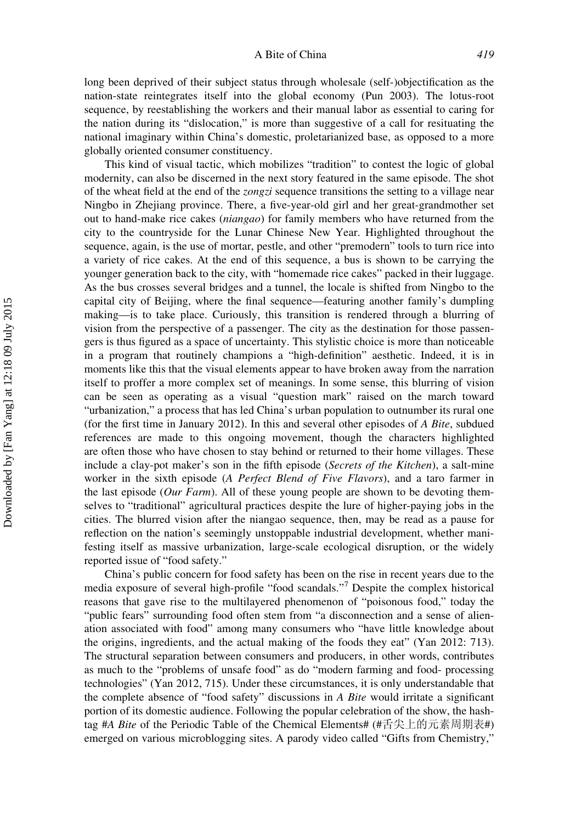long been deprived of their subject status through wholesale (self-)objectification as the nation-state reintegrates itself into the global economy (Pun 2003). The lotus-root sequence, by reestablishing the workers and their manual labor as essential to caring for the nation during its "dislocation," is more than suggestive of a call for resituating the national imaginary within China's domestic, proletarianized base, as opposed to a more globally oriented consumer constituency.

This kind of visual tactic, which mobilizes "tradition" to contest the logic of global modernity, can also be discerned in the next story featured in the same episode. The shot of the wheat field at the end of the zongzi sequence transitions the setting to a village near Ningbo in Zhejiang province. There, a five-year-old girl and her great-grandmother set out to hand-make rice cakes (niangao) for family members who have returned from the city to the countryside for the Lunar Chinese New Year. Highlighted throughout the sequence, again, is the use of mortar, pestle, and other "premodern" tools to turn rice into a variety of rice cakes. At the end of this sequence, a bus is shown to be carrying the younger generation back to the city, with "homemade rice cakes" packed in their luggage. As the bus crosses several bridges and a tunnel, the locale is shifted from Ningbo to the capital city of Beijing, where the final sequence—featuring another family's dumpling making—is to take place. Curiously, this transition is rendered through a blurring of vision from the perspective of a passenger. The city as the destination for those passengers is thus figured as a space of uncertainty. This stylistic choice is more than noticeable in a program that routinely champions a "high-definition" aesthetic. Indeed, it is in moments like this that the visual elements appear to have broken away from the narration itself to proffer a more complex set of meanings. In some sense, this blurring of vision can be seen as operating as a visual "question mark" raised on the march toward "urbanization," a process that has led China's urban population to outnumber its rural one (for the first time in January 2012). In this and several other episodes of A Bite, subdued references are made to this ongoing movement, though the characters highlighted are often those who have chosen to stay behind or returned to their home villages. These include a clay-pot maker's son in the fifth episode (Secrets of the Kitchen), a salt-mine worker in the sixth episode (A Perfect Blend of Five Flavors), and a taro farmer in the last episode (Our Farm). All of these young people are shown to be devoting themselves to "traditional" agricultural practices despite the lure of higher-paying jobs in the cities. The blurred vision after the niangao sequence, then, may be read as a pause for reflection on the nation's seemingly unstoppable industrial development, whether manifesting itself as massive urbanization, large-scale ecological disruption, or the widely reported issue of "food safety."

China's public concern for food safety has been on the rise in recent years due to the media exposure of several high-profile "food scandals."7 Despite the complex historical reasons that gave rise to the multilayered phenomenon of "poisonous food," today the "public fears" surrounding food often stem from "a disconnection and a sense of alienation associated with food" among many consumers who "have little knowledge about the origins, ingredients, and the actual making of the foods they eat" (Yan 2012: 713). The structural separation between consumers and producers, in other words, contributes as much to the "problems of unsafe food" as do "modern farming and food- processing technologies" (Yan 2012, 715). Under these circumstances, it is only understandable that the complete absence of "food safety" discussions in A Bite would irritate a significant portion of its domestic audience. Following the popular celebration of the show, the hashtag #A Bite of the Periodic Table of the Chemical Elements# (#舌尖上的元素周期表#) emerged on various microblogging sites. A parody video called "Gifts from Chemistry,"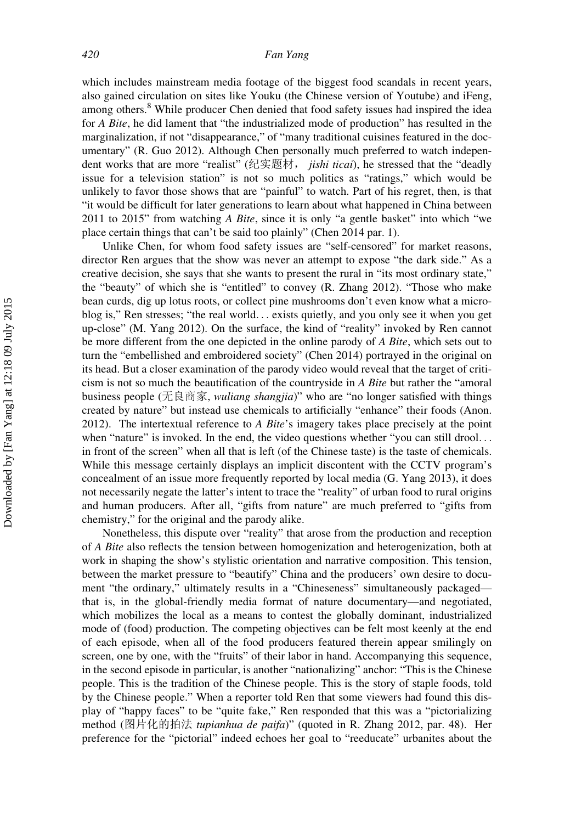#### 420 Fan Yang

which includes mainstream media footage of the biggest food scandals in recent years, also gained circulation on sites like Youku (the Chinese version of Youtube) and iFeng, among others.<sup>8</sup> While producer Chen denied that food safety issues had inspired the idea for A Bite, he did lament that "the industrialized mode of production" has resulted in the marginalization, if not "disappearance," of "many traditional cuisines featured in the documentary" (R. Guo 2012). Although Chen personally much preferred to watch independent works that are more "realist" (纪实题材, jishi ticai), he stressed that the "deadly issue for a television station" is not so much politics as "ratings," which would be unlikely to favor those shows that are "painful" to watch. Part of his regret, then, is that "it would be difficult for later generations to learn about what happened in China between 2011 to 2015" from watching A Bite, since it is only "a gentle basket" into which "we place certain things that can't be said too plainly" (Chen 2014 par. 1).

Unlike Chen, for whom food safety issues are "self-censored" for market reasons, director Ren argues that the show was never an attempt to expose "the dark side." As a creative decision, she says that she wants to present the rural in "its most ordinary state," the "beauty" of which she is "entitled" to convey (R. Zhang 2012). "Those who make bean curds, dig up lotus roots, or collect pine mushrooms don't even know what a microblog is," Ren stresses; "the real world... exists quietly, and you only see it when you get up-close" (M. Yang 2012). On the surface, the kind of "reality" invoked by Ren cannot be more different from the one depicted in the online parody of A Bite, which sets out to turn the "embellished and embroidered society" (Chen 2014) portrayed in the original on its head. But a closer examination of the parody video would reveal that the target of criticism is not so much the beautification of the countryside in A Bite but rather the "amoral business people (无良商家, *wuliang shangjia*)" who are "no longer satisfied with things created by nature" but instead use chemicals to artificially "enhance" their foods (Anon. 2012). The intertextual reference to A Bite's imagery takes place precisely at the point when "nature" is invoked. In the end, the video questions whether "you can still drool... in front of the screen" when all that is left (of the Chinese taste) is the taste of chemicals. While this message certainly displays an implicit discontent with the CCTV program's concealment of an issue more frequently reported by local media (G. Yang 2013), it does not necessarily negate the latter's intent to trace the "reality" of urban food to rural origins and human producers. After all, "gifts from nature" are much preferred to "gifts from chemistry," for the original and the parody alike.

Nonetheless, this dispute over "reality" that arose from the production and reception of A Bite also reflects the tension between homogenization and heterogenization, both at work in shaping the show's stylistic orientation and narrative composition. This tension, between the market pressure to "beautify" China and the producers' own desire to document "the ordinary," ultimately results in a "Chineseness" simultaneously packaged that is, in the global-friendly media format of nature documentary—and negotiated, which mobilizes the local as a means to contest the globally dominant, industrialized mode of (food) production. The competing objectives can be felt most keenly at the end of each episode, when all of the food producers featured therein appear smilingly on screen, one by one, with the "fruits" of their labor in hand. Accompanying this sequence, in the second episode in particular, is another "nationalizing" anchor: "This is the Chinese people. This is the tradition of the Chinese people. This is the story of staple foods, told by the Chinese people." When a reporter told Ren that some viewers had found this display of "happy faces" to be "quite fake," Ren responded that this was a "pictorializing method (图片化的拍法 tupianhua de paifa)" (quoted in R. Zhang 2012, par. 48). Her preference for the "pictorial" indeed echoes her goal to "reeducate" urbanites about the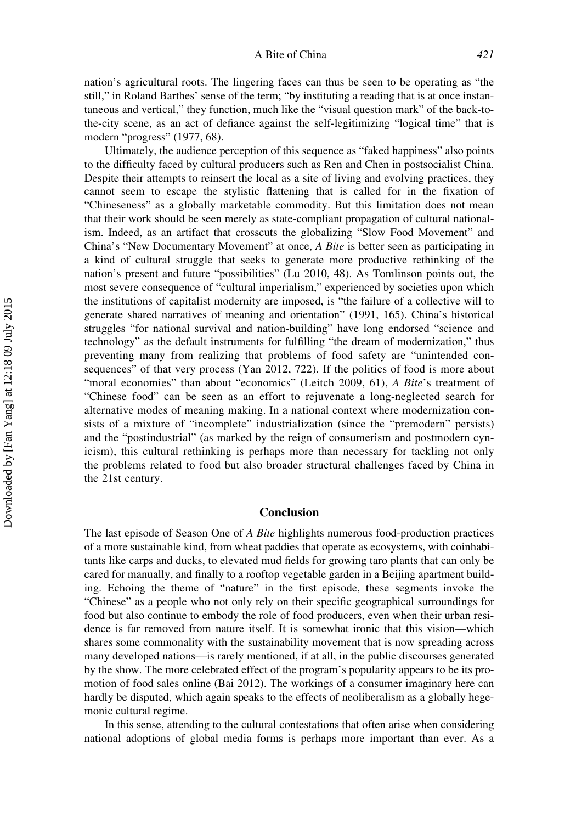nation's agricultural roots. The lingering faces can thus be seen to be operating as "the still," in Roland Barthes' sense of the term; "by instituting a reading that is at once instantaneous and vertical," they function, much like the "visual question mark" of the back-tothe-city scene, as an act of defiance against the self-legitimizing "logical time" that is modern "progress" (1977, 68).

Ultimately, the audience perception of this sequence as "faked happiness" also points to the difficulty faced by cultural producers such as Ren and Chen in postsocialist China. Despite their attempts to reinsert the local as a site of living and evolving practices, they cannot seem to escape the stylistic flattening that is called for in the fixation of "Chineseness" as a globally marketable commodity. But this limitation does not mean that their work should be seen merely as state-compliant propagation of cultural nationalism. Indeed, as an artifact that crosscuts the globalizing "Slow Food Movement" and China's "New Documentary Movement" at once, A Bite is better seen as participating in a kind of cultural struggle that seeks to generate more productive rethinking of the nation's present and future "possibilities" (Lu 2010, 48). As Tomlinson points out, the most severe consequence of "cultural imperialism," experienced by societies upon which the institutions of capitalist modernity are imposed, is "the failure of a collective will to generate shared narratives of meaning and orientation" (1991, 165). China's historical struggles "for national survival and nation-building" have long endorsed "science and technology" as the default instruments for fulfilling "the dream of modernization," thus preventing many from realizing that problems of food safety are "unintended consequences" of that very process (Yan 2012, 722). If the politics of food is more about "moral economies" than about "economics" (Leitch 2009, 61), A Bite's treatment of "Chinese food" can be seen as an effort to rejuvenate a long-neglected search for alternative modes of meaning making. In a national context where modernization consists of a mixture of "incomplete" industrialization (since the "premodern" persists) and the "postindustrial" (as marked by the reign of consumerism and postmodern cynicism), this cultural rethinking is perhaps more than necessary for tackling not only the problems related to food but also broader structural challenges faced by China in the 21st century.

## Conclusion

The last episode of Season One of A Bite highlights numerous food-production practices of a more sustainable kind, from wheat paddies that operate as ecosystems, with coinhabitants like carps and ducks, to elevated mud fields for growing taro plants that can only be cared for manually, and finally to a rooftop vegetable garden in a Beijing apartment building. Echoing the theme of "nature" in the first episode, these segments invoke the "Chinese" as a people who not only rely on their specific geographical surroundings for food but also continue to embody the role of food producers, even when their urban residence is far removed from nature itself. It is somewhat ironic that this vision—which shares some commonality with the sustainability movement that is now spreading across many developed nations—is rarely mentioned, if at all, in the public discourses generated by the show. The more celebrated effect of the program's popularity appears to be its promotion of food sales online (Bai 2012). The workings of a consumer imaginary here can hardly be disputed, which again speaks to the effects of neoliberalism as a globally hegemonic cultural regime.

In this sense, attending to the cultural contestations that often arise when considering national adoptions of global media forms is perhaps more important than ever. As a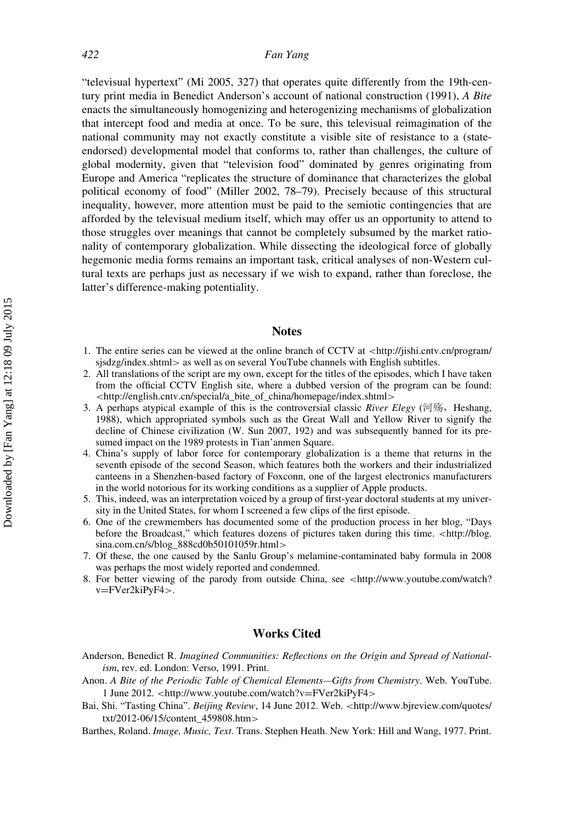"televisual hypertext" (Mi 2005, 327) that operates quite differently from the 19th-century print media in Benedict Anderson's account of national construction (1991), A Bite enacts the simultaneously homogenizing and heterogenizing mechanisms of globalization that intercept food and media at once. To be sure, this televisual reimagination of the national community may not exactly constitute a visible site of resistance to a (stateendorsed) developmental model that conforms to, rather than challenges, the culture of global modernity, given that "television food" dominated by genres originating from Europe and America "replicates the structure of dominance that characterizes the global political economy of food" (Miller 2002, 78–79). Precisely because of this structural inequality, however, more attention must be paid to the semiotic contingencies that are afforded by the televisual medium itself, which may offer us an opportunity to attend to those struggles over meanings that cannot be completely subsumed by the market rationality of contemporary globalization. While dissecting the ideological force of globally hegemonic media forms remains an important task, critical analyses of non-Western cultural texts are perhaps just as necessary if we wish to expand, rather than foreclose, the latter's difference-making potentiality.

#### Notes

- 1. The entire series can be viewed at the online branch of CCTV at <http://jishi.cntv.cn/program/ sjsdzg/index.shtml> as well as on several YouTube channels with English subtitles.
- 2. All translations of the script are my own, except for the titles of the episodes, which I have taken from the official CCTV English site, where a dubbed version of the program can be found: <http://english.cntv.cn/special/a\_bite\_of\_china/homepage/index.shtml>
- 3. A perhaps atypical example of this is the controversial classic River Elegy (河殇, Heshang, 1988), which appropriated symbols such as the Great Wall and Yellow River to signify the decline of Chinese civilization (W. Sun 2007, 192) and was subsequently banned for its presumed impact on the 1989 protests in Tian'anmen Square.
- 4. China's supply of labor force for contemporary globalization is a theme that returns in the seventh episode of the second Season, which features both the workers and their industrialized canteens in a Shenzhen-based factory of Foxconn, one of the largest electronics manufacturers in the world notorious for its working conditions as a supplier of Apple products.
- 5. This, indeed, was an interpretation voiced by a group of first-year doctoral students at my university in the United States, for whom I screened a few clips of the first episode.
- 6. One of the crewmembers has documented some of the production process in her blog, "Days before the Broadcast," which features dozens of pictures taken during this time. <http://blog. sina.com.cn/s/blog\_888cd0b50101059r.html>
- 7. Of these, the one caused by the Sanlu Group's melamine-contaminated baby formula in 2008 was perhaps the most widely reported and condemned.
- 8. For better viewing of the parody from outside China, see <http://www.youtube.com/watch? v=FVer2kiPyF4>.

### Works Cited

Anderson, Benedict R. Imagined Communities: Reflections on the Origin and Spread of Nationalism, rev. ed. London: Verso, 1991. Print.

- Bai, Shi. "Tasting China". Beijing Review, 14 June 2012. Web. <[http://www.bjreview.com/quotes/](http://www.bjreview.com/quotes/txt/2012-06/15/content_459808.htm) [txt/2012-06/15/content\\_459808.htm](http://www.bjreview.com/quotes/txt/2012-06/15/content_459808.htm)>
- Barthes, Roland. Image, Music, Text. Trans. Stephen Heath. New York: Hill and Wang, 1977. Print.

Anon. A Bite of the Periodic Table of Chemical Elements—Gifts from Chemistry. Web. YouTube. 1 June 2012. <[http://www.youtube.com/watch?v](http://www.youtube.com/watch?v=FVer2kiPyF4)=[FVer2kiPyF4](http://www.youtube.com/watch?v=FVer2kiPyF4)[>](http://www.youtube.com/watch?v=FVer2kiPyF4)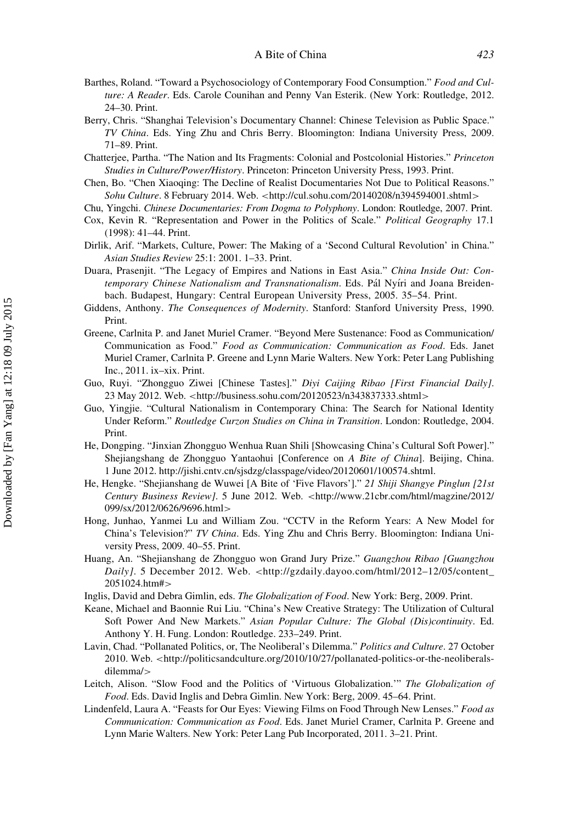- Barthes, Roland. "Toward a Psychosociology of Contemporary Food Consumption." Food and Culture: A Reader. Eds. Carole Counihan and Penny Van Esterik. (New York: Routledge, 2012. 24–30. Print.
- Berry, Chris. "Shanghai Television's Documentary Channel: Chinese Television as Public Space." TV China. Eds. Ying Zhu and Chris Berry. Bloomington: Indiana University Press, 2009. 71–89. Print.
- Chatterjee, Partha. "The Nation and Its Fragments: Colonial and Postcolonial Histories." Princeton Studies in Culture/Power/History. Princeton: Princeton University Press, 1993. Print.
- Chen, Bo. "Chen Xiaoqing: The Decline of Realist Documentaries Not Due to Political Reasons." Sohu Culture. 8 February 2014. Web. <<http://cul.sohu.com/20140208/n394594001.shtml>>
- Chu, Yingchi. Chinese Documentaries: From Dogma to Polyphony. London: Routledge, 2007. Print.
- Cox, Kevin R. "Representation and Power in the Politics of Scale." Political Geography 17.1 (1998): 41–44. Print.
- Dirlik, Arif. "Markets, Culture, Power: The Making of a 'Second Cultural Revolution' in China." Asian Studies Review 25:1: 2001. 1–33. Print.
- Duara, Prasenjit. "The Legacy of Empires and Nations in East Asia." China Inside Out: Contemporary Chinese Nationalism and Transnationalism. Eds. Pál Nyíri and Joana Breidenbach. Budapest, Hungary: Central European University Press, 2005. 35–54. Print.
- Giddens, Anthony. The Consequences of Modernity. Stanford: Stanford University Press, 1990. Print.
- Greene, Carlnita P. and Janet Muriel Cramer. "Beyond Mere Sustenance: Food as Communication/ Communication as Food." Food as Communication: Communication as Food. Eds. Janet Muriel Cramer, Carlnita P. Greene and Lynn Marie Walters. New York: Peter Lang Publishing Inc., 2011. ix–xix. Print.
- Guo, Ruyi. "Zhongguo Ziwei [Chinese Tastes]." Diyi Caijing Ribao [First Financial Daily]. 23 May 2012. Web. <<http://business.sohu.com/20120523/n343837333.shtml>>
- Guo, Yingjie. "Cultural Nationalism in Contemporary China: The Search for National Identity Under Reform." Routledge Curzon Studies on China in Transition. London: Routledge, 2004. Print.
- He, Dongping. "Jinxian Zhongguo Wenhua Ruan Shili [Showcasing China's Cultural Soft Power]." Shejiangshang de Zhongguo Yantaohui [Conference on A Bite of China]. Beijing, China. 1 June 2012. http://jishi.cntv.cn/sjsdzg/classpage/video/20120601/100574.shtml.
- He, Hengke. "Shejianshang de Wuwei [A Bite of 'Five Flavors']." 21 Shiji Shangye Pinglun [21st Century Business Review]. 5 June 2012. Web. <[http://www.21cbr.com/html/magzine/2012/](http://www.21cbr.com/html/magzine/2012/099/sx/2012/0626/9696.html) [099/sx/2012/0626/9696.html](http://www.21cbr.com/html/magzine/2012/099/sx/2012/0626/9696.html)>
- Hong, Junhao, Yanmei Lu and William Zou. "CCTV in the Reform Years: A New Model for China's Television?" TV China. Eds. Ying Zhu and Chris Berry. Bloomington: Indiana University Press, 2009. 40–55. Print.
- Huang, An. "Shejianshang de Zhongguo won Grand Jury Prize." Guangzhou Ribao [Guangzhou Daily]. 5 December 2012. Web. <http://gzdaily.dayoo.com/html/2012-12/05/content\_ [2051024.htm#](http://gzdaily.dayoo.com/html/2012-12/05/content_2051024.htm#)>
- Inglis, David and Debra Gimlin, eds. The Globalization of Food. New York: Berg, 2009. Print.
- Keane, Michael and Baonnie Rui Liu. "China's New Creative Strategy: The Utilization of Cultural Soft Power And New Markets." Asian Popular Culture: The Global (Dis)continuity. Ed. Anthony Y. H. Fung. London: Routledge. 233–249. Print.
- Lavin, Chad. "Pollanated Politics, or, The Neoliberal's Dilemma." Politics and Culture. 27 October 2010. Web. <[http://politicsandculture.org/2010/10/27/pollanated-politics-or-the-neoliberals](http://politicsandculture.org/2010/10/27/pollanated-politics-or-the-neoliberals-dilemma/)[dilemma/](http://politicsandculture.org/2010/10/27/pollanated-politics-or-the-neoliberals-dilemma/)>
- Leitch, Alison. "Slow Food and the Politics of 'Virtuous Globalization.'" The Globalization of Food. Eds. David Inglis and Debra Gimlin. New York: Berg, 2009. 45–64. Print.
- Lindenfeld, Laura A. "Feasts for Our Eyes: Viewing Films on Food Through New Lenses." Food as Communication: Communication as Food. Eds. Janet Muriel Cramer, Carlnita P. Greene and Lynn Marie Walters. New York: Peter Lang Pub Incorporated, 2011. 3–21. Print.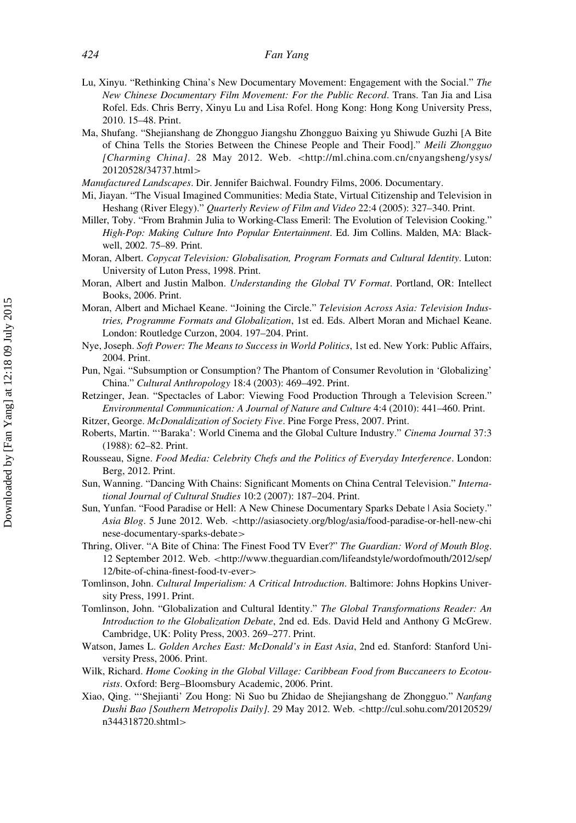- Lu, Xinyu. "Rethinking China's New Documentary Movement: Engagement with the Social." The New Chinese Documentary Film Movement: For the Public Record. Trans. Tan Jia and Lisa Rofel. Eds. Chris Berry, Xinyu Lu and Lisa Rofel. Hong Kong: Hong Kong University Press, 2010. 15–48. Print.
- Ma, Shufang. "Shejianshang de Zhongguo Jiangshu Zhongguo Baixing yu Shiwude Guzhi [A Bite of China Tells the Stories Between the Chinese People and Their Food]." Meili Zhongguo [Charming China]. 28 May 2012. Web. <[http://ml.china.com.cn/cnyangsheng/ysys/](http://ml.china.com.cn/cnyangsheng/ysys/20120528/34737.html) [20120528/34737.html](http://ml.china.com.cn/cnyangsheng/ysys/20120528/34737.html)>
- Manufactured Landscapes. Dir. Jennifer Baichwal. Foundry Films, 2006. Documentary.
- Mi, Jiayan. "The Visual Imagined Communities: Media State, Virtual Citizenship and Television in Heshang (River Elegy)." Quarterly Review of Film and Video 22:4 (2005): 327–340. Print.
- Miller, Toby. "From Brahmin Julia to Working-Class Emeril: The Evolution of Television Cooking." High-Pop: Making Culture Into Popular Entertainment. Ed. Jim Collins. Malden, MA: Blackwell, 2002. 75–89. Print.
- Moran, Albert. Copycat Television: Globalisation, Program Formats and Cultural Identity. Luton: University of Luton Press, 1998. Print.
- Moran, Albert and Justin Malbon. Understanding the Global TV Format. Portland, OR: Intellect Books, 2006. Print.
- Moran, Albert and Michael Keane. "Joining the Circle." Television Across Asia: Television Industries, Programme Formats and Globalization, 1st ed. Eds. Albert Moran and Michael Keane. London: Routledge Curzon, 2004. 197–204. Print.
- Nye, Joseph. Soft Power: The Means to Success in World Politics, 1st ed. New York: Public Affairs, 2004. Print.
- Pun, Ngai. "Subsumption or Consumption? The Phantom of Consumer Revolution in 'Globalizing' China." Cultural Anthropology 18:4 (2003): 469–492. Print.
- Retzinger, Jean. "Spectacles of Labor: Viewing Food Production Through a Television Screen." Environmental Communication: A Journal of Nature and Culture 4:4 (2010): 441–460. Print.
- Ritzer, George. McDonaldization of Society Five. Pine Forge Press, 2007. Print.
- Roberts, Martin. "'Baraka': World Cinema and the Global Culture Industry." Cinema Journal 37:3 (1988): 62–82. Print.
- Rousseau, Signe. Food Media: Celebrity Chefs and the Politics of Everyday Interference. London: Berg, 2012. Print.
- Sun, Wanning. "Dancing With Chains: Significant Moments on China Central Television." International Journal of Cultural Studies 10:2 (2007): 187–204. Print.
- Sun, Yunfan. "Food Paradise or Hell: A New Chinese Documentary Sparks Debate | Asia Society." Asia Blog. 5 June 2012. Web. <[http://asiasociety.org/blog/asia/food-paradise-or-hell-new-chi](http://asiasociety.org/blog/asia/food-paradise-or-hell-new-chinese-documentary-sparks-debate) [nese-documentary-sparks-debate](http://asiasociety.org/blog/asia/food-paradise-or-hell-new-chinese-documentary-sparks-debate)>
- Thring, Oliver. "A Bite of China: The Finest Food TV Ever?" The Guardian: Word of Mouth Blog. 12 September 2012. Web. <[http://www.theguardian.com/lifeandstyle/wordofmouth/2012/sep/](http://www.theguardian.com/lifeandstyle/wordofmouth/2012/sep/12/bite-of-china-finest-food-tv-ever) [12/bite-of-china-finest-food-tv-ever](http://www.theguardian.com/lifeandstyle/wordofmouth/2012/sep/12/bite-of-china-finest-food-tv-ever)>
- Tomlinson, John. Cultural Imperialism: A Critical Introduction. Baltimore: Johns Hopkins University Press, 1991. Print.
- Tomlinson, John. "Globalization and Cultural Identity." The Global Transformations Reader: An Introduction to the Globalization Debate, 2nd ed. Eds. David Held and Anthony G McGrew. Cambridge, UK: Polity Press, 2003. 269–277. Print.
- Watson, James L. Golden Arches East: McDonald's in East Asia, 2nd ed. Stanford: Stanford University Press, 2006. Print.
- Wilk, Richard. Home Cooking in the Global Village: Caribbean Food from Buccaneers to Ecotourists. Oxford: Berg–Bloomsbury Academic, 2006. Print.
- Xiao, Qing. "'Shejianti' Zou Hong: Ni Suo bu Zhidao de Shejiangshang de Zhongguo." Nanfang Dushi Bao [Southern Metropolis Daily]. 29 May 2012. Web. <[http://cul.sohu.com/20120529/](http://cul.sohu.com/20120529/n344318720.shtml) [n344318720.shtml](http://cul.sohu.com/20120529/n344318720.shtml)>